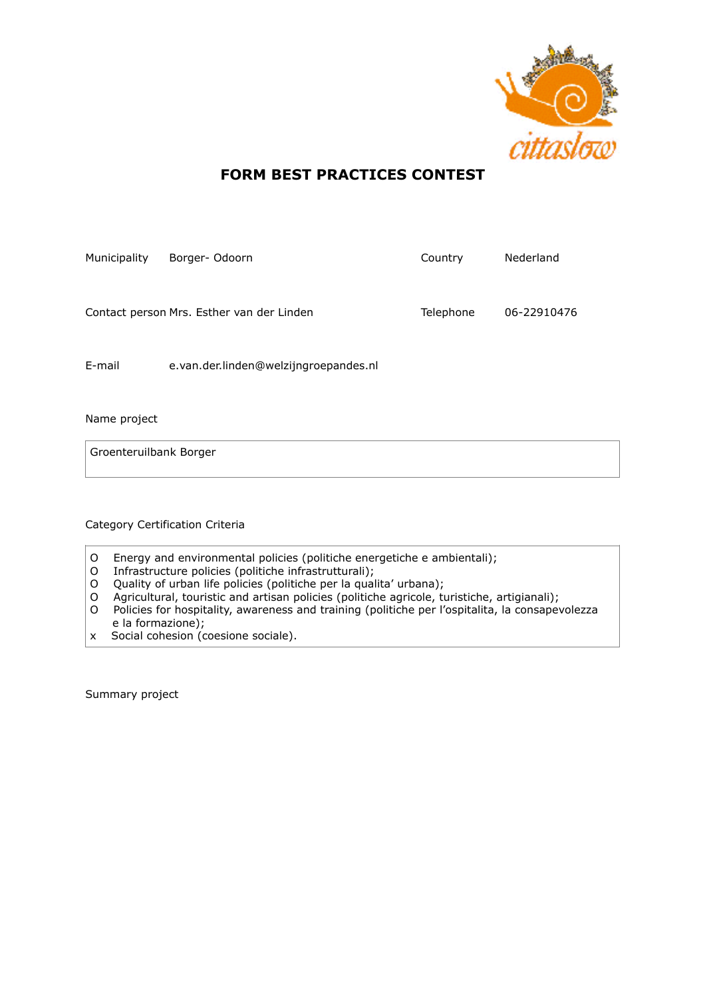

## **FORM BEST PRACTICES CONTEST**

| Municipality | Borger-Odoorn                             | Country   | Nederland   |
|--------------|-------------------------------------------|-----------|-------------|
|              | Contact person Mrs. Esther van der Linden | Telephone | 06-22910476 |
| E-mail       | e.van.der.linden@welzijngroepandes.nl     |           |             |

Name project

Groenteruilbank Borger

Category Certification Criteria

- O Energy and environmental policies (politiche energetiche e ambientali);
- O Infrastructure policies (politiche infrastrutturali);
- O Quality of urban life policies (politiche per la qualita' urbana);
- O Agricultural, touristic and artisan policies (politiche agricole, turistiche, artigianali);
- O Policies for hospitality, awareness and training (politiche per l'ospitalita, la consapevolezza e la formazione);
- x Social cohesion (coesione sociale).

Summary project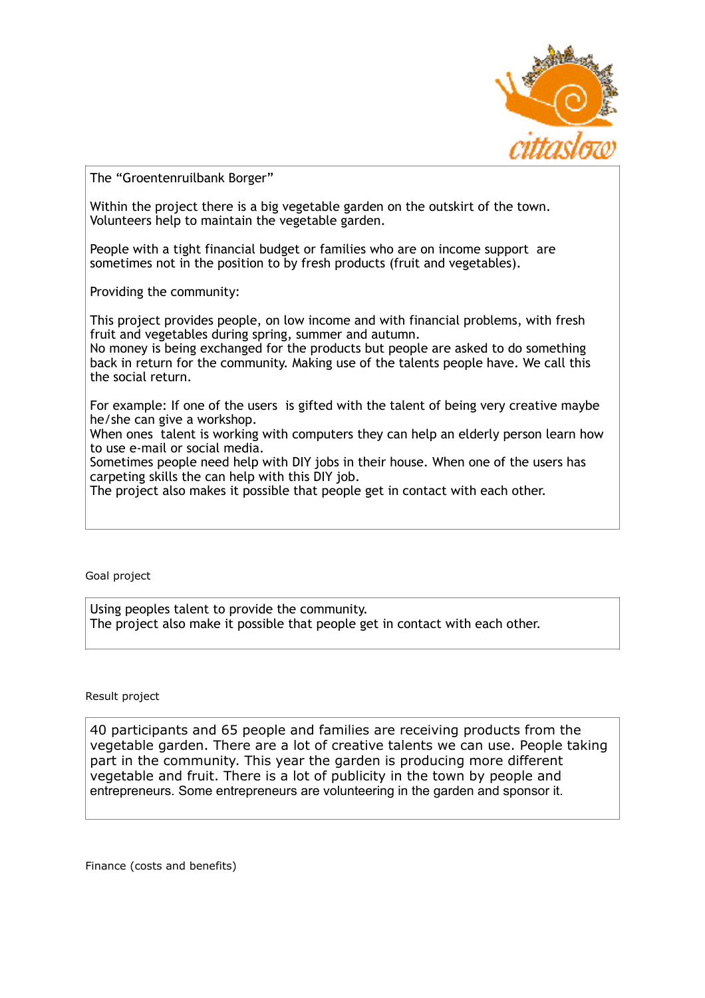

The "Groentenruilbank Borger"

Within the project there is a big vegetable garden on the outskirt of the town. Volunteers help to maintain the vegetable garden.

People with a tight financial budget or families who are on income support are sometimes not in the position to by fresh products (fruit and vegetables).

Providing the community:

This project provides people, on low income and with financial problems, with fresh fruit and vegetables during spring, summer and autumn.

No money is being exchanged for the products but people are asked to do something back in return for the community. Making use of the talents people have. We call this the social return.

For example: If one of the users is gifted with the talent of being very creative maybe he/she can give a workshop.

When ones talent is working with computers they can help an elderly person learn how to use e-mail or social media.

Sometimes people need help with DIY jobs in their house. When one of the users has carpeting skills the can help with this DIY job.

The project also makes it possible that people get in contact with each other.

## Goal project

Using peoples talent to provide the community. The project also make it possible that people get in contact with each other.

## Result project

40 participants and 65 people and families are receiving products from the vegetable garden. There are a lot of creative talents we can use. People taking part in the community. This year the garden is producing more different vegetable and fruit. There is a lot of publicity in the town by people and entrepreneurs. Some entrepreneurs are volunteering in the garden and sponsor it.

Finance (costs and benefits)